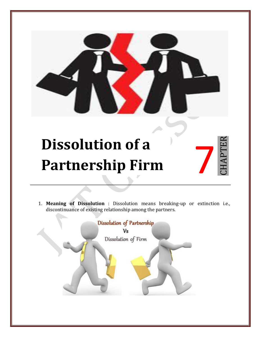## **Dissolution of a Partnership Firm**



1. **Meaning of Dissolution** : Dissolution means breaking-up or extinction i.e., discontinuance of existing relationship among the partners.

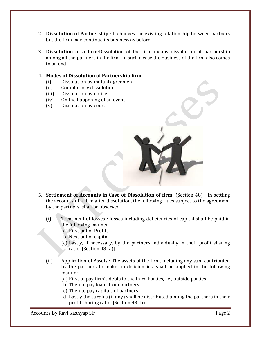- 2. **Dissolution of Partnership** : It changes the existing relationship between partners but the firm may continue its business as before.
- 3. **Dissolution of a firm**:Dissolution of the firm means dissolution of partnership among all the partners in the firm. In such a case the business of the firm also comes to an end.

## **4. Modes of Dissolution of Partnership firm**

- (i) Dissolution by mutual agreement
- (ii) Complulsory dissolution
- (iii) Dissolution by notice
- (iv) On the happening of an event
- (v) Dissolution by court



- 5. **Settlement of Accounts in Case of Dissolution of firm** (Section 48) In settling the accounts of a firm after dissolution, the following rules subject to the agreement by the partners, shall be observed
	- (i) Treatment of losses : losses including deficiencies of capital shall be paid in the following manner
		- (a) First out of Profits
		- (b) Next out of capital
		- (c) Lastly, if necessary, by the partners individually in their profit sharing ratio. [Section 48 (a)]
	- (ii) Application of Assets : The assets of the firm, including any sum contributed by the partners to make up deficiencies, shall be applied in the following manner
		- (a) First to pay firm's debts to the third Parties, i.e., outside parties.
		- (b) Then to pay loans from partners.
		- (c) Then to pay capitals of partners.
		- (d) Lastly the surplus (if any) shall be distributed among the partners in their profit sharing ratio. [Section 48 (b)]

Accounts By Ravi Kashyap Sir **Page 2**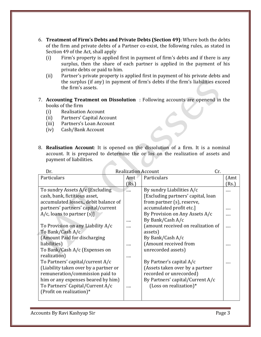- 6. **Treatment of Firm's Debts and Private Debts (Section 49)**: Where both the debts of the firm and private debts of a Partner co-exist, the following rules, as stated in Section 49 of the Act, shall apply
	- (i) Firm's property is applied first in payment of firm's debts and if there is any surplus, then the share of each partner is applied in the payment of his private debts or paid to him.
	- (ii) Partner's private property is applied first in payment of his private debts and the surplus (if any) in payment of firm's debts if the firm's liabilities exceed the firm's assets.
- 7. **Accounting Treatment on Dissolution** : Following accounts are openend in the books of the firm
	- (i) Realisation Account
	- (ii) Partners' Capital Account<br>(iii) Partners's Loan Account
	- (iii) Partners's Loan Account<br>(iv) Cash/Bank Account
	- Cash/Bank Account
- 8. **Realisation Account**: It is opened on the dissolution of a firm. It is a nominal account. It is prepared to determine the or los on the realization of assets and payment of liabilities.

| Dr.                                   |  |       | <b>Realization Account</b>         | Cr. |       |
|---------------------------------------|--|-------|------------------------------------|-----|-------|
| Particulars                           |  | Amt   | Particulars                        |     | (Amt  |
|                                       |  | (Rs.) |                                    |     | (Rs.) |
| To sundry Assets A/c [Excluding]      |  |       | By sundry Liabilities A/c          |     |       |
| cash, bank, fictitious asset,         |  |       | [Excluding partners' capital, loan |     |       |
| accumulated losses, debit balance of  |  |       | from partner (s), reserve,         |     |       |
| partners' partners' capital/current   |  |       | accumulated profit etc.]           |     |       |
| $A/c$ , loans to partner $(s)$ ]      |  |       | By Provision on Any Assets A/c     |     |       |
|                                       |  |       | By Bank/Cash A/c                   |     |       |
| To Provision on any Liability A/c     |  |       | (amount received on realization of |     |       |
| To Bank/Cash A/c                      |  |       | assets)                            |     |       |
| (Amount Paid for discharging          |  |       | By Bank/Cash A/c                   |     |       |
| liabilities)                          |  |       | (Amount received from              |     |       |
| To Bank/Cash A/c (Expenses on         |  |       | unrecorded assets)                 |     |       |
| realization)                          |  |       |                                    |     |       |
| To Partners' capital/current A/c      |  |       | By Partner's capital A/c           |     |       |
| (Liability taken over by a partner or |  |       | (Assets taken over by a partner    |     |       |
| remuneration/commission paid to       |  |       | recorded or unrecorded)            |     |       |
| him or any expenses beared by him)    |  |       | By Partners' capital/Current A/c   |     |       |
| To Partners' Capital/Current A/c      |  |       | (Loss on realization) $*$          |     |       |
| (Profit on realization)*              |  |       |                                    |     |       |
|                                       |  |       |                                    |     |       |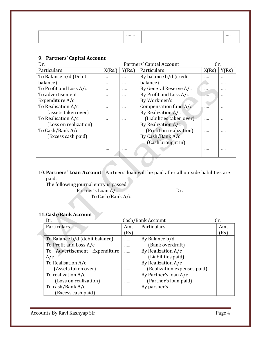| <br>.<br> |
|-----------|
|-----------|

## **9. Partners' Capital Account**

| Dr.                    | Partners' Capital Account |          |                          | Cr.      |          |
|------------------------|---------------------------|----------|--------------------------|----------|----------|
| Particulars            | X(Rs.)                    | Y(Rs.)   | Particulars              | X(Rs)    | Y(Rs)    |
| To Balance b/d (Debit  | $\cdots$                  | $\cdots$ | By balance b/d (credit   |          | $\cdots$ |
| balance)               | $\cdots$                  | $\cdots$ | balance)                 | $\cdots$ |          |
| To Profit and Loss A/c | $\cdots$                  |          | By General Reserve A/c   | $\cdots$ |          |
| To advertisement       | $\cdots$                  | $\cdots$ | By Profit and Loss A/c   | 1.11     | $\cdots$ |
| Expenditure $A/c$      |                           |          | By Workmen's             |          |          |
| To Realisation A/c     | $\cdots$                  | $\cdots$ | Compensation fund A/c    |          | $\cdots$ |
| (assets taken over)    |                           |          | By Realization A/c       |          |          |
| To Realisation A/c     | $\cdots$                  |          | (Liabilities taken over) |          |          |
| (Loss on realization)  |                           |          | By Realization A/c       |          |          |
| To Cash/Bank A/c       |                           |          | (Profit on realization)  |          |          |
| (Excess cash paid)     |                           |          | By Cash/Bank A/c         |          |          |
|                        |                           |          | (Cash brought in)        |          |          |
|                        |                           |          |                          |          |          |
|                        |                           |          |                          |          |          |

10. **Partners' Loan Account**: Partners' loan will be paid after all outside liabilities are paid.

The following journal entry is passed Partner's Loan A/c Dr. To Cash/Bank A/c

## **11.Cash/Bank Account**

| Dr.                            |      | Cash/Bank Account           | Cr.  |
|--------------------------------|------|-----------------------------|------|
| Particulars                    | Amt  | Particulars                 | Amt  |
|                                | (Rs) |                             | (Rs) |
| To Balance b/d (debit balance) |      | By Balance b/d              |      |
| To Profit and Loss A/c         |      | (Bank overdraft)            |      |
| To Advertisement Expenditure   |      | By Realization A/c          |      |
| A/c                            |      | (Liabilities paid)          |      |
| To Realisation A/c             |      | By Realization A/c          |      |
| (Assets taken over)            |      | (Realization expenses paid) |      |
| To realization A/c             |      | By Partner's loan A/c       |      |
| (Loss on realization)          |      | (Partner's loan paid)       |      |
| To cash/Bank A/c               |      | By partner's                |      |
| Excess cash paid)              |      |                             |      |

Accounts By Ravi Kashyap Sir **Page 4**